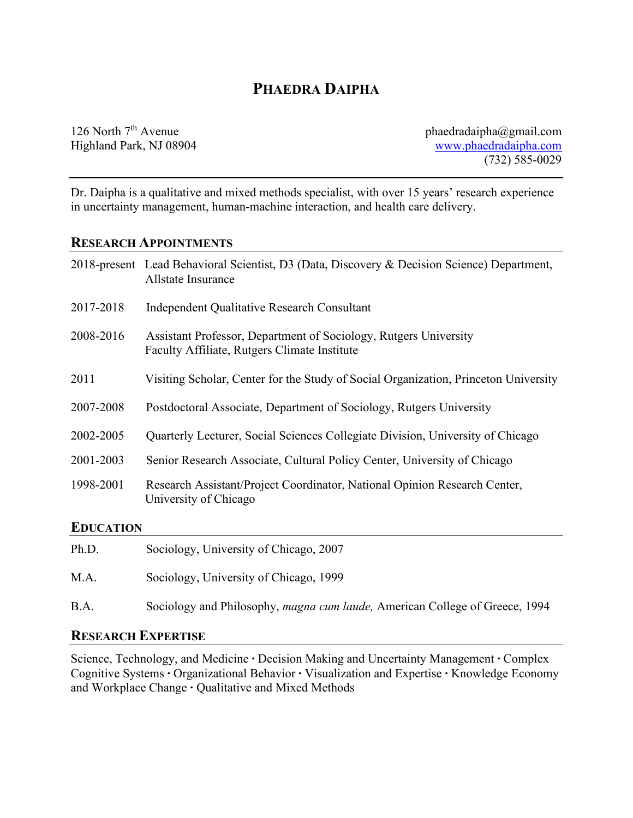# **PHAEDRA DAIPHA**

126 North 7<sup>th</sup> Avenue phaedradaipha@gmail.com Highland Park, NJ 08904 [www.phaedradaipha.com](http://www.phaedradaipha.com/) (732) 585-0029

Dr. Daipha is a qualitative and mixed methods specialist, with over 15 years' research experience in uncertainty management, human-machine interaction, and health care delivery.

#### **RESEARCH APPOINTMENTS**

|                  | 2018-present Lead Behavioral Scientist, D3 (Data, Discovery & Decision Science) Department,<br>Allstate Insurance |
|------------------|-------------------------------------------------------------------------------------------------------------------|
| 2017-2018        | Independent Qualitative Research Consultant                                                                       |
| 2008-2016        | Assistant Professor, Department of Sociology, Rutgers University<br>Faculty Affiliate, Rutgers Climate Institute  |
| 2011             | Visiting Scholar, Center for the Study of Social Organization, Princeton University                               |
| 2007-2008        | Postdoctoral Associate, Department of Sociology, Rutgers University                                               |
| 2002-2005        | Quarterly Lecturer, Social Sciences Collegiate Division, University of Chicago                                    |
| 2001-2003        | Senior Research Associate, Cultural Policy Center, University of Chicago                                          |
| 1998-2001        | Research Assistant/Project Coordinator, National Opinion Research Center,<br>University of Chicago                |
| <b>EDUCATION</b> |                                                                                                                   |
| Ph.D.            | Sociology, University of Chicago, 2007                                                                            |
| M.A.             | Sociology, University of Chicago, 1999                                                                            |

B.A. Sociology and Philosophy, *magna cum laude,* American College of Greece, 1994

### **RESEARCH EXPERTISE**

Science, Technology, and Medicine **∙** Decision Making and Uncertainty Management **∙** Complex Cognitive Systems **∙** Organizational Behavior **∙** Visualization and Expertise **∙** Knowledge Economy and Workplace Change **∙** Qualitative and Mixed Methods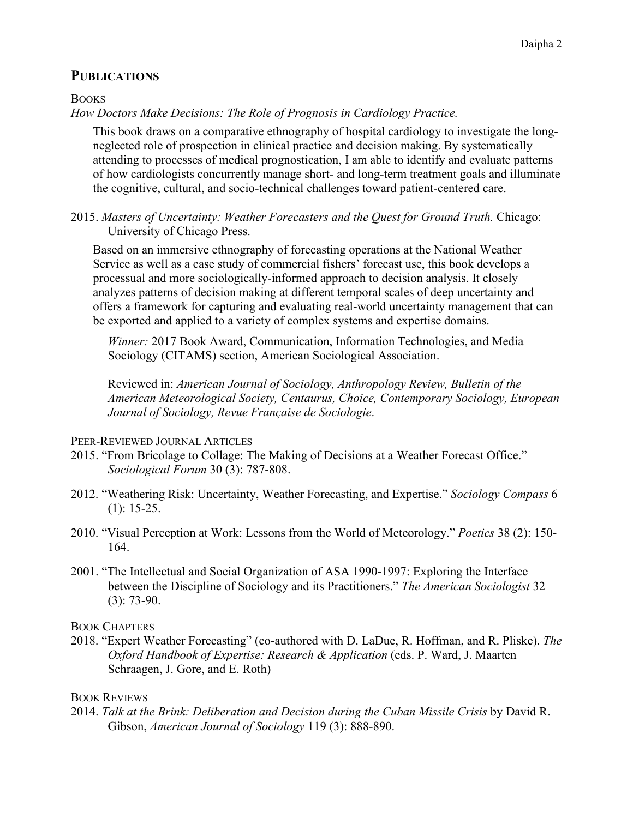# **PUBLICATIONS**

**BOOKS** 

*How Doctors Make Decisions: The Role of Prognosis in Cardiology Practice.* 

This book draws on a comparative ethnography of hospital cardiology to investigate the longneglected role of prospection in clinical practice and decision making. By systematically attending to processes of medical prognostication, I am able to identify and evaluate patterns of how cardiologists concurrently manage short- and long-term treatment goals and illuminate the cognitive, cultural, and socio-technical challenges toward patient-centered care.

2015. *Masters of Uncertainty: Weather Forecasters and the Quest for Ground Truth.* Chicago: University of Chicago Press.

Based on an immersive ethnography of forecasting operations at the National Weather Service as well as a case study of commercial fishers' forecast use, this book develops a processual and more sociologically-informed approach to decision analysis. It closely analyzes patterns of decision making at different temporal scales of deep uncertainty and offers a framework for capturing and evaluating real-world uncertainty management that can be exported and applied to a variety of complex systems and expertise domains.

*Winner:* 2017 Book Award, Communication, Information Technologies, and Media Sociology (CITAMS) section, American Sociological Association.

Reviewed in: *American Journal of Sociology, Anthropology Review, Bulletin of the American Meteorological Society, Centaurus, Choice, Contemporary Sociology, European Journal of Sociology, Revue Française de Sociologie*.

PEER-REVIEWED JOURNAL ARTICLES

- 2015. "From Bricolage to Collage: The Making of Decisions at a Weather Forecast Office." *Sociological Forum* 30 (3): 787-808.
- 2012. "Weathering Risk: Uncertainty, Weather Forecasting, and Expertise." *Sociology Compass* 6  $(1): 15-25.$
- 2010. "Visual Perception at Work: Lessons from the World of Meteorology." *Poetics* 38 (2): 150- 164.
- 2001. "The Intellectual and Social Organization of ASA 1990-1997: Exploring the Interface between the Discipline of Sociology and its Practitioners." *The American Sociologist* 32 (3): 73-90.

BOOK CHAPTERS

2018. "Expert Weather Forecasting" (co-authored with D. LaDue, R. Hoffman, and R. Pliske). *The Oxford Handbook of Expertise: Research & Application* (eds. P. Ward, J. Maarten Schraagen, J. Gore, and E. Roth)

BOOK REVIEWS

2014. *Talk at the Brink: Deliberation and Decision during the Cuban Missile Crisis* by David R. Gibson, *American Journal of Sociology* 119 (3): 888-890.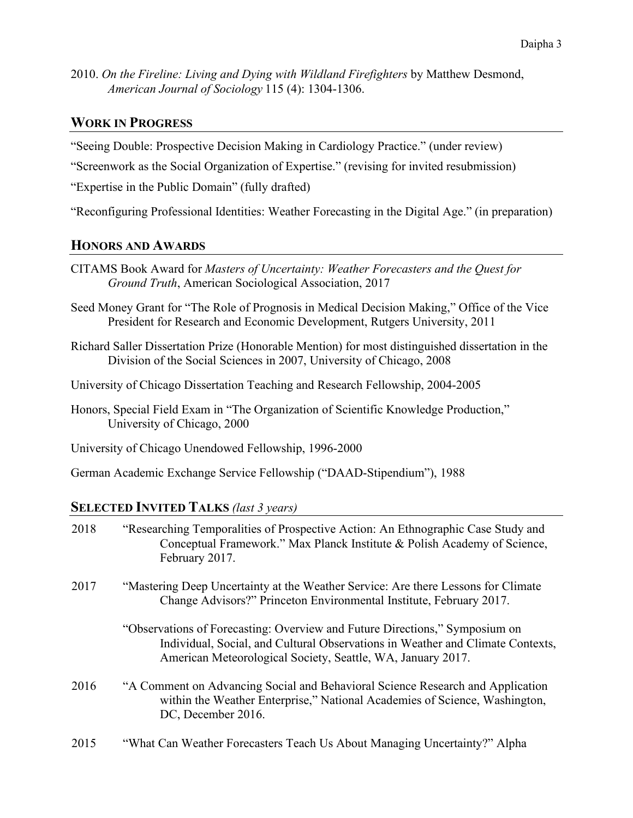2010. *On the Fireline: Living and Dying with Wildland Firefighters* by Matthew Desmond, *American Journal of Sociology* 115 (4): 1304-1306.

# **WORK IN PROGRESS**

"Seeing Double: Prospective Decision Making in Cardiology Practice." (under review)

"Screenwork as the Social Organization of Expertise." (revising for invited resubmission)

"Expertise in the Public Domain" (fully drafted)

"Reconfiguring Professional Identities: Weather Forecasting in the Digital Age." (in preparation)

### **HONORS AND AWARDS**

- CITAMS Book Award for *Masters of Uncertainty: Weather Forecasters and the Quest for Ground Truth*, American Sociological Association, 2017
- Seed Money Grant for "The Role of Prognosis in Medical Decision Making," Office of the Vice President for Research and Economic Development, Rutgers University, 2011
- Richard Saller Dissertation Prize (Honorable Mention) for most distinguished dissertation in the Division of the Social Sciences in 2007, University of Chicago, 2008
- University of Chicago Dissertation Teaching and Research Fellowship, 2004-2005
- Honors, Special Field Exam in "The Organization of Scientific Knowledge Production," University of Chicago, 2000

University of Chicago Unendowed Fellowship, 1996-2000

German Academic Exchange Service Fellowship ("DAAD-Stipendium"), 1988

### **SELECTED INVITED TALKS** *(last 3 years)*

| 2018 | "Researching Temporalities of Prospective Action: An Ethnographic Case Study and<br>Conceptual Framework." Max Planck Institute & Polish Academy of Science,<br>February 2017.                                               |
|------|------------------------------------------------------------------------------------------------------------------------------------------------------------------------------------------------------------------------------|
| 2017 | "Mastering Deep Uncertainty at the Weather Service: Are there Lessons for Climate<br>Change Advisors?" Princeton Environmental Institute, February 2017.                                                                     |
|      | "Observations of Forecasting: Overview and Future Directions," Symposium on<br>Individual, Social, and Cultural Observations in Weather and Climate Contexts,<br>American Meteorological Society, Seattle, WA, January 2017. |
| 2016 | "A Comment on Advancing Social and Behavioral Science Research and Application<br>within the Weather Enterprise," National Academies of Science, Washington,<br>DC, December 2016.                                           |
| 2015 | "What Can Weather Forecasters Teach Us About Managing Uncertainty?" Alpha                                                                                                                                                    |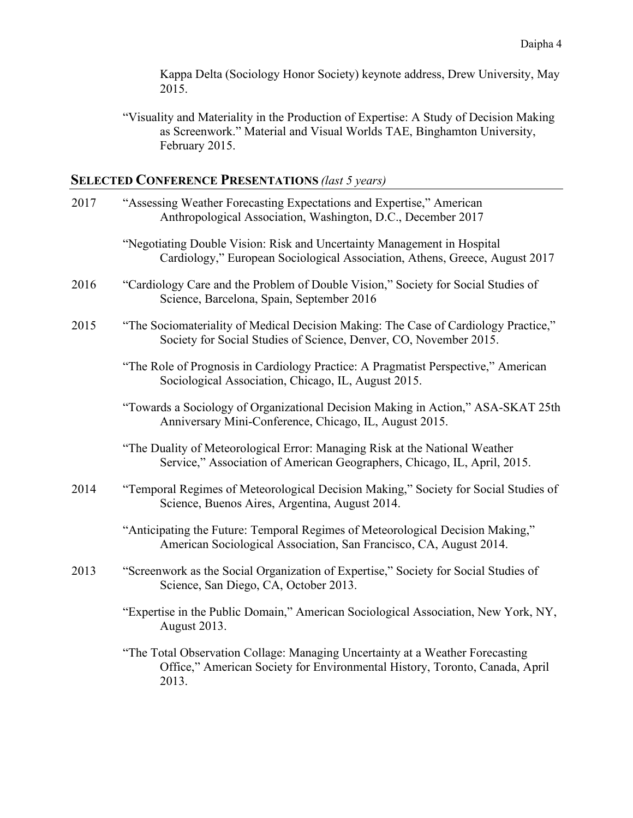Kappa Delta (Sociology Honor Society) keynote address, Drew University, May 2015.

"Visuality and Materiality in the Production of Expertise: A Study of Decision Making as Screenwork." Material and Visual Worlds TAE, Binghamton University, February 2015.

# **SELECTED CONFERENCE PRESENTATIONS** *(last 5 years)*

| 2017 | "Assessing Weather Forecasting Expectations and Expertise," American<br>Anthropological Association, Washington, D.C., December 2017                                  |
|------|-----------------------------------------------------------------------------------------------------------------------------------------------------------------------|
|      | "Negotiating Double Vision: Risk and Uncertainty Management in Hospital<br>Cardiology," European Sociological Association, Athens, Greece, August 2017                |
| 2016 | "Cardiology Care and the Problem of Double Vision," Society for Social Studies of<br>Science, Barcelona, Spain, September 2016                                        |
| 2015 | "The Sociomateriality of Medical Decision Making: The Case of Cardiology Practice,"<br>Society for Social Studies of Science, Denver, CO, November 2015.              |
|      | "The Role of Prognosis in Cardiology Practice: A Pragmatist Perspective," American<br>Sociological Association, Chicago, IL, August 2015.                             |
|      | "Towards a Sociology of Organizational Decision Making in Action," ASA-SKAT 25th<br>Anniversary Mini-Conference, Chicago, IL, August 2015.                            |
|      | "The Duality of Meteorological Error: Managing Risk at the National Weather<br>Service," Association of American Geographers, Chicago, IL, April, 2015.               |
| 2014 | "Temporal Regimes of Meteorological Decision Making," Society for Social Studies of<br>Science, Buenos Aires, Argentina, August 2014.                                 |
|      | "Anticipating the Future: Temporal Regimes of Meteorological Decision Making,"<br>American Sociological Association, San Francisco, CA, August 2014.                  |
| 2013 | "Screenwork as the Social Organization of Expertise," Society for Social Studies of<br>Science, San Diego, CA, October 2013.                                          |
|      | "Expertise in the Public Domain," American Sociological Association, New York, NY,<br>August 2013.                                                                    |
|      | "The Total Observation Collage: Managing Uncertainty at a Weather Forecasting<br>Office," American Society for Environmental History, Toronto, Canada, April<br>2013. |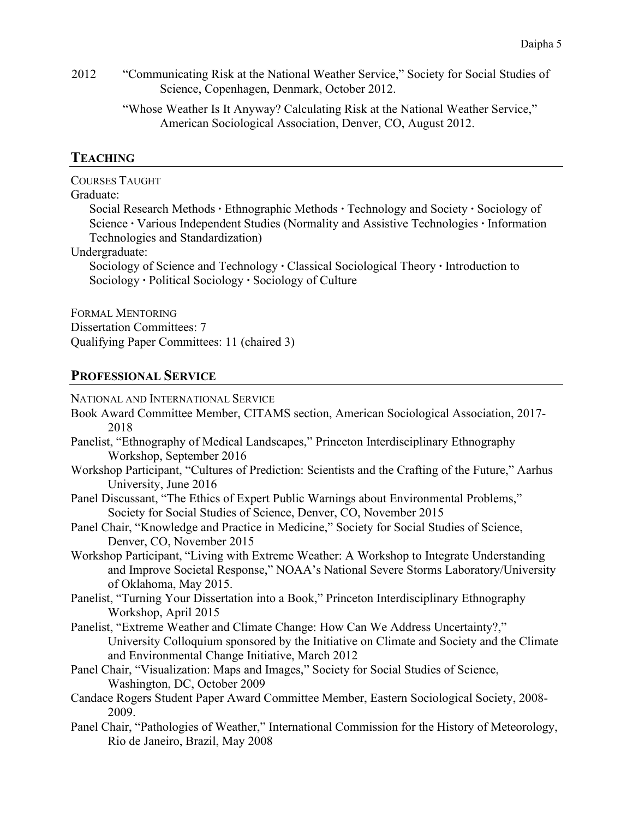2012 "Communicating Risk at the National Weather Service," Society for Social Studies of Science, Copenhagen, Denmark, October 2012.

> "Whose Weather Is It Anyway? Calculating Risk at the National Weather Service," American Sociological Association, Denver, CO, August 2012.

# **TEACHING**

COURSES TAUGHT

### Graduate:

Social Research Methods **∙** Ethnographic Methods **∙** Technology and Society **∙** Sociology of Science **∙** Various Independent Studies (Normality and Assistive Technologies **∙** Information Technologies and Standardization)

Undergraduate:

Sociology of Science and Technology **∙** Classical Sociological Theory **∙** Introduction to Sociology **∙** Political Sociology **∙** Sociology of Culture

FORMAL MENTORING Dissertation Committees: 7 Qualifying Paper Committees: 11 (chaired 3)

### **PROFESSIONAL SERVICE**

NATIONAL AND INTERNATIONAL SERVICE

- Book Award Committee Member, CITAMS section, American Sociological Association, 2017- 2018
- Panelist, "Ethnography of Medical Landscapes," Princeton Interdisciplinary Ethnography Workshop, September 2016
- Workshop Participant, "Cultures of Prediction: Scientists and the Crafting of the Future," Aarhus University, June 2016
- Panel Discussant, "The Ethics of Expert Public Warnings about Environmental Problems," Society for Social Studies of Science, Denver, CO, November 2015
- Panel Chair, "Knowledge and Practice in Medicine," Society for Social Studies of Science, Denver, CO, November 2015
- Workshop Participant, "Living with Extreme Weather: A Workshop to Integrate Understanding and Improve Societal Response," NOAA's National Severe Storms Laboratory/University of Oklahoma, May 2015.
- Panelist, "Turning Your Dissertation into a Book," Princeton Interdisciplinary Ethnography Workshop, April 2015
- Panelist, "Extreme Weather and Climate Change: How Can We Address Uncertainty?," University Colloquium sponsored by the Initiative on Climate and Society and the Climate and Environmental Change Initiative, March 2012
- Panel Chair, "Visualization: Maps and Images," Society for Social Studies of Science, Washington, DC, October 2009
- Candace Rogers Student Paper Award Committee Member, Eastern Sociological Society, 2008- 2009.
- Panel Chair, "Pathologies of Weather," International Commission for the History of Meteorology, Rio de Janeiro, Brazil, May 2008